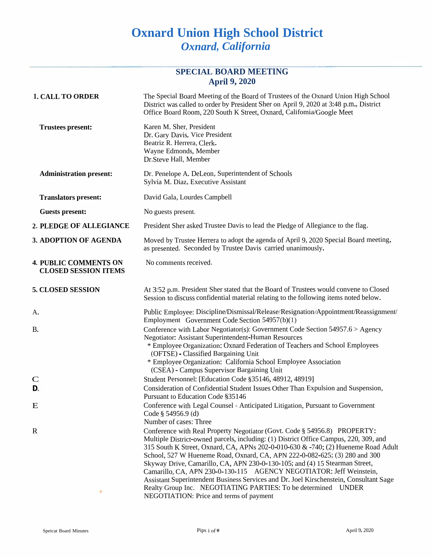# **Oxnard Union High School District** *Oxnard, California*

## **SPECIAL BOARD MEETING April 9, 2020**

| <b>1. CALL TO ORDER</b>                                     | The Special Board Meeting of the Board of Trustees of the Oxnard Union High School<br>District was called to order by President Sher on April 9, 2020 at 3:48 p.m., District<br>Office Board Room, 220 South K Street, Oxnard, Califomia/Google Meet                                                                                                                                                                                                                                                                                                                                                                                                                                              |
|-------------------------------------------------------------|---------------------------------------------------------------------------------------------------------------------------------------------------------------------------------------------------------------------------------------------------------------------------------------------------------------------------------------------------------------------------------------------------------------------------------------------------------------------------------------------------------------------------------------------------------------------------------------------------------------------------------------------------------------------------------------------------|
| <b>Trustees present:</b>                                    | Karen M. Sher, President<br>Dr. Gary Davis, Vice President<br>Beatriz R. Herrera, Clerk.<br>Wayne Edmonds, Member<br>Dr.Steve Hall, Member                                                                                                                                                                                                                                                                                                                                                                                                                                                                                                                                                        |
| <b>Administration present:</b>                              | Dr. Penelope A. DeLeon, Superintendent of Schools<br>Sylvia M. Diaz, Executive Assistant                                                                                                                                                                                                                                                                                                                                                                                                                                                                                                                                                                                                          |
| <b>Translators present:</b>                                 | David Gala, Lourdes Campbell                                                                                                                                                                                                                                                                                                                                                                                                                                                                                                                                                                                                                                                                      |
| <b>Guests present:</b>                                      | No guests present.                                                                                                                                                                                                                                                                                                                                                                                                                                                                                                                                                                                                                                                                                |
| 2. PLEDGE OF ALLEGIANCE                                     | President Sher asked Trustee Davis to lead the Pledge of Allegiance to the flag.                                                                                                                                                                                                                                                                                                                                                                                                                                                                                                                                                                                                                  |
| 3. ADOPTION OF AGENDA                                       | Moved by Trustee Herrera to adopt the agenda of April 9, 2020 Special Board meeting,<br>as presented. Seconded by Trustee Davis carried unanimously.                                                                                                                                                                                                                                                                                                                                                                                                                                                                                                                                              |
| <b>4. PUBLIC COMMENTS ON</b><br><b>CLOSED SESSION ITEMS</b> | No comments received.                                                                                                                                                                                                                                                                                                                                                                                                                                                                                                                                                                                                                                                                             |
| <b>5. CLOSED SESSION</b>                                    | At 3:52 p.m. President Sher stated that the Board of Trustees would convene to Closed<br>Session to discuss confidential material relating to the following items noted below.                                                                                                                                                                                                                                                                                                                                                                                                                                                                                                                    |
| А.                                                          | Public Employee: Discipline/Dismissal/Release/Resignation/Appointment/Reassignment/<br>Employment Government Code Section 54957(b)(1)                                                                                                                                                                                                                                                                                                                                                                                                                                                                                                                                                             |
| B.                                                          | Conference with Labor Negotiator(s): Government Code Section 54957.6 > Agency<br><b>Negotiator: Assistant Superintendent-Human Resources</b><br>* Employee Organization: Oxnard Federation of Teachers and School Employees<br>(OFTSE) - Classified Bargaining Unit<br>* Employee Organization: California School Employee Association<br>(CSEA) - Campus Supervisor Bargaining Unit                                                                                                                                                                                                                                                                                                              |
| $\mathbf C$                                                 | Student Personnel: [Education Code §35146, 48912, 48919]                                                                                                                                                                                                                                                                                                                                                                                                                                                                                                                                                                                                                                          |
| D.                                                          | Consideration of Confidential Student Issues Other Than Expulsion and Suspension,<br>Pursuant to Education Code §35146                                                                                                                                                                                                                                                                                                                                                                                                                                                                                                                                                                            |
| E                                                           | Conference with Legal Counsel = Anticipated Litigation, Pursuant to Government<br>Code § 54956.9 (d)<br>Number of cases: Three                                                                                                                                                                                                                                                                                                                                                                                                                                                                                                                                                                    |
| $\mathbf R$<br>۰                                            | Conference with Real Property Negotiator (Govt. Code § 54956.8) PROPERTY:<br>Multiple District-owned parcels, including: (1) District Office Campus, 220, 309, and<br>315 South K Street, Oxnard, CA, APNs 202-0-010-630 & -740; (2) Hueneme Road Adult<br>School, 527 W Hueneme Road, Oxnard, CA, APN 222-0-082-625; (3) 280 and 300<br>Skyway Drive, Camarillo, CA, APN 230-0-130-105; and (4) 15 Stearman Street,<br>Camarillo, CA, APN 230-0-130-115 AGENCY NEGOTIATOR: Jeff Weinstein,<br>Assistant Superintendent Business Services and Dr. Joel Kirschenstein, Consultant Sage<br>Realty Group Inc. NEGOTIATING PARTIES: To be determined UNDER<br>NEGOTIATION: Price and terms of payment |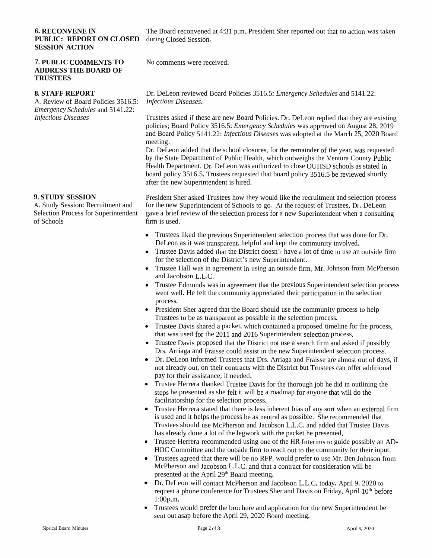#### **6. RECONVENE IN PUBLIC: REPORT ON CLOSED** during Closed Session. **SESSIONSESSION ACTION**

#### **7. PUBLIC COMMENTS TOADDRESS THE BOARD OF TRUSTEES**

## **8. STAFF REPORT**

A. Review of Board Policies 3516.5:<br>*Emergency Schedules* and 5141.22: *Emergency Schedules* and 5141.22: *Infectious Diseases*

### **9. STUDY**

**9. STUDY SESSION**<br>A. Study Session: Recruitment and<br>Selection Dresses for Superintende Selection Process for Superintendent gave a brief review<br>of Seheels of Schools

The Board reconvened at 4:31 p.m. President Sher reported out that no action was taken

No comments were received.

Dr. DeLeon reviewed Board Policies 3516.5: *Emergency Schedules* and 5141.22: *Infectious Diseases.*

Trustees asked if these are new Board Policies. Dr. DeLeon replied that they are existing nolicies: Board Policy 3516.5: *Emergency Schedules* was approved on August 28, 2019 policies; Board Policy 3516.5: *Emergency Schedules* was approve<sup>d</sup> on August 28, <sup>2019</sup> and Board Policy 5141.22: *Infectious Diseases* was adopted at the March 25, <sup>2020</sup> Board meeting.

 Dr. DeLeon added that the school closures, for the remainder of the year, was requestedby the State Department of Public Health, which outweighs the Ventura County Public<br>Health Department, Dr. Dr. Jan was sutherized to also OUUSD schools as stated in Health Department. Dr. DeLeon was authorized to close OUHSDHealth Department. Dr. DeLeon was authorized to close OUHSD schools as stated in<br>board policy 3516.5. Trustees requested that board policy 3516.5 be reviewed shortly<br>often the new Synoniptondent is bined after the new Superintendent is hired.

w of the selection process for a new Superintendent when a consulting President Sher asked Trustees how<br>for the now Synaginter dant of Sake President Sher asked Trustees how they would like the recruitment and selection process<br>for the new Superintendent of Schools to go. At the request of Trustees, Dr. DeLeon<br>gave a brief review of the selection process for a firm is used.

- Trustees liked the previous Superintendent selection process that was done for Dr. DeLeon as it was transparent, helpful and kept the community involved. as it was transparent, helpful and kept the communityDeLeon as it was transparent, helpful and kept the community involved.<br>• Trustee Davis added that the District doesn't have a lot of time to use an
- Trustee Davis added that the District doesn't have a lot of time to use an outside firm for the selection of the District's new Superintendent for the selection of the District's new for the selection of the District's new Superintendent.<br>● Trustee Hall was in agreement in using an outside firm
- Trustee Hall was in agreement in using an outside firm, Mr. Johnson from McPherson and Jacobson L.L.C. and Jacobson L.L.C. and Jacobson L.L.C.<br>• Trustee Edmonds wa
- Trustee Edmonds was in agreement that the previous Superintendent selection process went well. He felt the community appreciated their participation in the selection went well. He felt the community appreciated their participation in the selection<br>Presesses process.
- President Sher agreed that the Board should use the community process to help<br>Trustees to be as transparent as possible in the selection process Trustees to be as transparent as possible in the selection
- **I rustees to be as transparent as possible in the selection process.**<br>• Trustee Davis shared a packet, which contained a proposed time • Trustee Davis shared a packet, which contained a proposed timeline for the process, that was used for the 2011 and 2016 Superintendent selection process that was used for the <sup>2011</sup>that was used for the 2011 and 2016 Superintendent selection process.<br>• Trustee Davis proposed that the District not use a search firm and aske
- Trustee Davis proposed that the District not use a search firm<br>Drs. Arriaga and Fraisse could assist in the new Superintende Trustee Davis proposed that the District not use a search firm and asked if possibly<br>Drs. Arriaga and Fraisse could assist in the new Superintendent selection process.
- Drs. Arriaga and Fraisse could assist in the new Superintendent selection process.<br>● Dr. DeLeon informed Trustees that Drs. Arriaga and Fraisse are almost out of day • Dr. DeLeon informed Trustees that Drs. Arriaga and Fraisse are almost out of days, if<br>not already out, on their contracts with the District but Trustees can offer additional not already out, on their contracts with the District but Trustees can offer additional<br>new for their essistance, if needed pay for their assistance, if needed. pay for their assistance, if needed.<br>• Trustee Herrera thanked Trustee I
- Trustee Herrera thanked Trustee Davis for the thorough job he did in outlining the steps he presented as she felt it will be a roadman for anyone that will do the steps he presented as she felt it will be a roadmap for anyone that will do the<br>follitatership for the selection precess. facilitatorship for the selection
- racultatorship for the selection process.<br>• Trustee Herrera stated that there is less • Trustee Herrera stated that there is less inherent bias of any sort when an external firm<br>is used and it helps the process be as neutral as possible. She recommended that is used and it helps the process be as neutral as possible. She recommended that<br>Fructoes should use MeDhaman and Jacobson J.J. G. and added that Trustee Des Trustees should use McPherson and Jacobson L.L.C. and added that Trustee Davis has already done <sup>a</sup> lot of the legworkhas already done a lot of the legwork with the packet he presented.<br>• Trustee Herrera recommended using one of the HR Interims to gui
- Trustee Herrera recommended using one of the HR Interims to guide possibly an AD-<br>HOC Committee and the outside firm to reach out to the community for their input. HOC Committee and the outside firm to reach out to the community for their input. HOC Committee and the outside firm to reach out to the community for their input.<br>• Trustees agreed that there will be no RFP, would prefer to use Mr. Ben Johnson fro
- Trustees agreed that there will be no RFP, would prefer to use Mr. Ben Johnson from McPherson and Jacobson L.L.C. and that a contract for consideration will be McPherson and Jacobson L.L.C. and that a contract for consideration will be<br>massarted at the Argil 20th Board masting presented at the April 29<sup>th</sup> Board meeting.<br>• Dr DeLeon will contact McPherson and I
- Dr. DeLeon will contact McPherson and Jacobson L.L.C. today, April 9, <sup>2020</sup> to request a phone conference for Trustees Sher and Davis on Friday, April 10<sup>th</sup> before<br>1.00pm 1:00p.m.
- Trustees would prefer the brochure and application for the new Superintendent be sent out as application of  $29.2020$  Board meeting. •sent out asap before the April 29, <sup>2020</sup> Board meeting.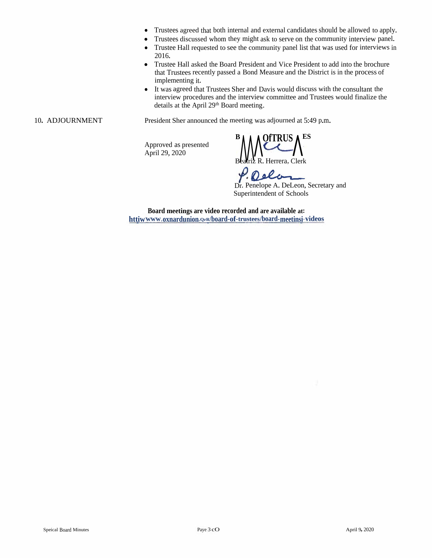- Trustees agree<sup>d</sup> that both internal and external candidates should be allowed to apply.
- Trustees discussed whom they might ask to serve on the community interview panel.
- Trustee Hall requested to see the community panel list that was used for interviews in 2016.
- Trustee Hall asked the Board President and Vice President to add into the brochure that Trustees recently passed <sup>a</sup> Bond Measure and the District is in the process of implementing it.
- It was agreed that Trustees Sher and Davis would discuss with the consultant the interview procedures and the interview committee and Trustees would finalize the details at the April 29<sup>th</sup> Board meeting.

10. ADJOURNMENT President Sher announced the meeting was adjourned at 5:49 p.m.

Approved as presented  $\bigwedge^{\text{B}}$  **Approved as presented**  $\bigwedge^{\text{B}}$ 

Beatriz R. Herrera, Clerk

P. Delas

Dr. Penelope A. DeLeon, Secretary and Superintendent of Schools

**Board meetings are video recorded and are available at: httiwwww.oxnardunion.QrR/board-of-trustees/board-meetinsi"videos**